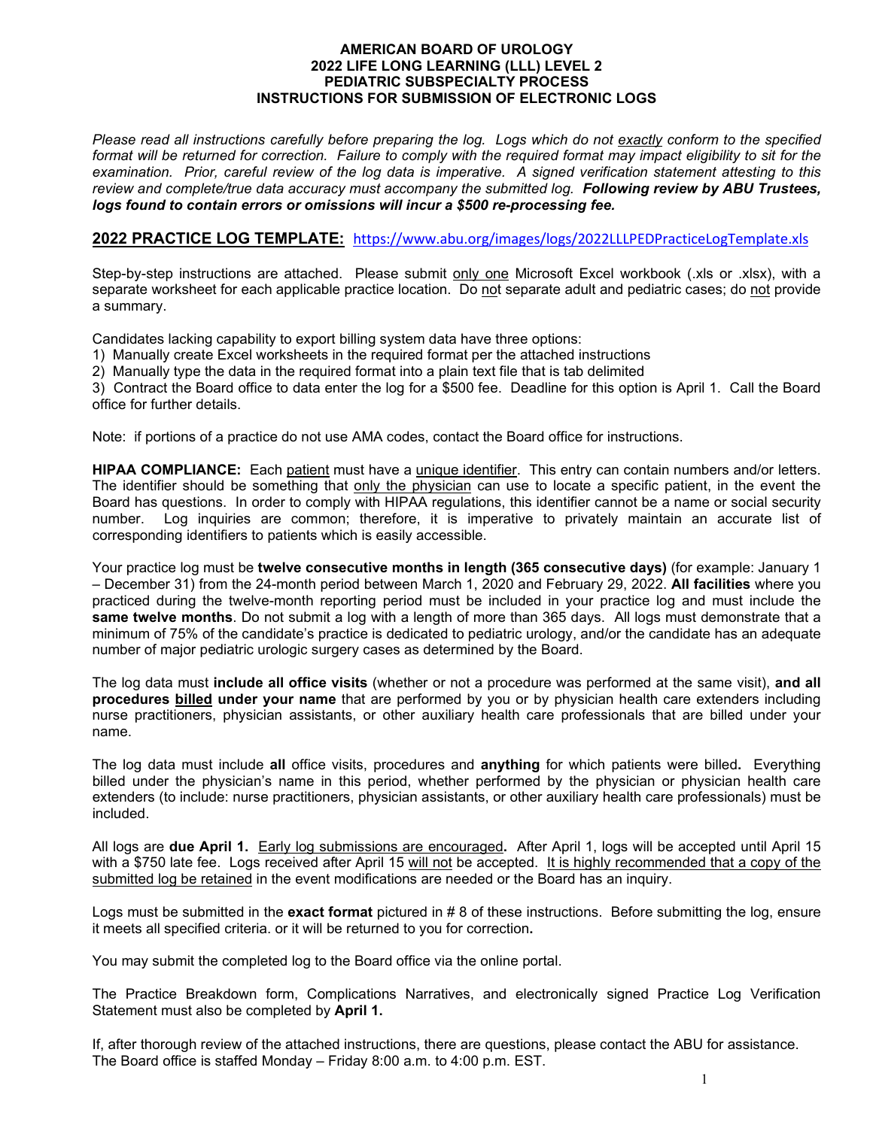#### **AMERICAN BOARD OF UROLOGY 2022 LIFE LONG LEARNING (LLL) LEVEL 2 PEDIATRIC SUBSPECIALTY PROCESS INSTRUCTIONS FOR SUBMISSION OF ELECTRONIC LOGS**

*Please read all instructions carefully before preparing the log. Logs which do not exactly conform to the specified format will be returned for correction. Failure to comply with the required format may impact eligibility to sit for the examination. Prior, careful review of the log data is imperative. A signed verification statement attesting to this review and complete/true data accuracy must accompany the submitted log. Following review by ABU Trustees, logs found to contain errors or omissions will incur a \$500 re-processing fee.*

#### **2022 PRACTICE LOG TEMPLATE:** <https://www.abu.org/images/logs/2022LLLPEDPracticeLogTemplate.xls>

Step-by-step instructions are attached. Please submit only one Microsoft Excel workbook (.xls or .xlsx), with a separate worksheet for each applicable practice location. Do not separate adult and pediatric cases; do not provide a summary.

Candidates lacking capability to export billing system data have three options:

1) Manually create Excel worksheets in the required format per the attached instructions

2) Manually type the data in the required format into a plain text file that is tab delimited

3) Contract the Board office to data enter the log for a \$500 fee. Deadline for this option is April 1. Call the Board office for further details.

Note: if portions of a practice do not use AMA codes, contact the Board office for instructions.

**HIPAA COMPLIANCE:** Each patient must have a unique identifier. This entry can contain numbers and/or letters. The identifier should be something that only the physician can use to locate a specific patient, in the event the Board has questions. In order to comply with HIPAA regulations, this identifier cannot be a name or social security number. Log inquiries are common; therefore, it is imperative to privately maintain an accurate list of corresponding identifiers to patients which is easily accessible.

Your practice log must be **twelve consecutive months in length (365 consecutive days)** (for example: January 1 – December 31) from the 24-month period between March 1, 2020 and February 29, 2022. **All facilities** where you practiced during the twelve-month reporting period must be included in your practice log and must include the **same twelve months**. Do not submit a log with a length of more than 365 days. All logs must demonstrate that a minimum of 75% of the candidate's practice is dedicated to pediatric urology, and/or the candidate has an adequate number of major pediatric urologic surgery cases as determined by the Board.

The log data must **include all office visits** (whether or not a procedure was performed at the same visit), **and all procedures billed under your name** that are performed by you or by physician health care extenders including nurse practitioners, physician assistants, or other auxiliary health care professionals that are billed under your name.

The log data must include **all** office visits, procedures and **anything** for which patients were billed**.** Everything billed under the physician's name in this period, whether performed by the physician or physician health care extenders (to include: nurse practitioners, physician assistants, or other auxiliary health care professionals) must be included.

All logs are **due April 1.** Early log submissions are encouraged**.** After April 1, logs will be accepted until April 15 with a \$750 late fee. Logs received after April 15 will not be accepted. It is highly recommended that a copy of the submitted log be retained in the event modifications are needed or the Board has an inquiry.

Logs must be submitted in the **exact format** pictured in # 8 of these instructions. Before submitting the log, ensure it meets all specified criteria. or it will be returned to you for correction**.**

You may submit the completed log to the Board office via the online portal.

The Practice Breakdown form, Complications Narratives, and electronically signed Practice Log Verification Statement must also be completed by **April 1.**

If, after thorough review of the attached instructions, there are questions, please contact the ABU for assistance. The Board office is staffed Monday – Friday 8:00 a.m. to 4:00 p.m. EST.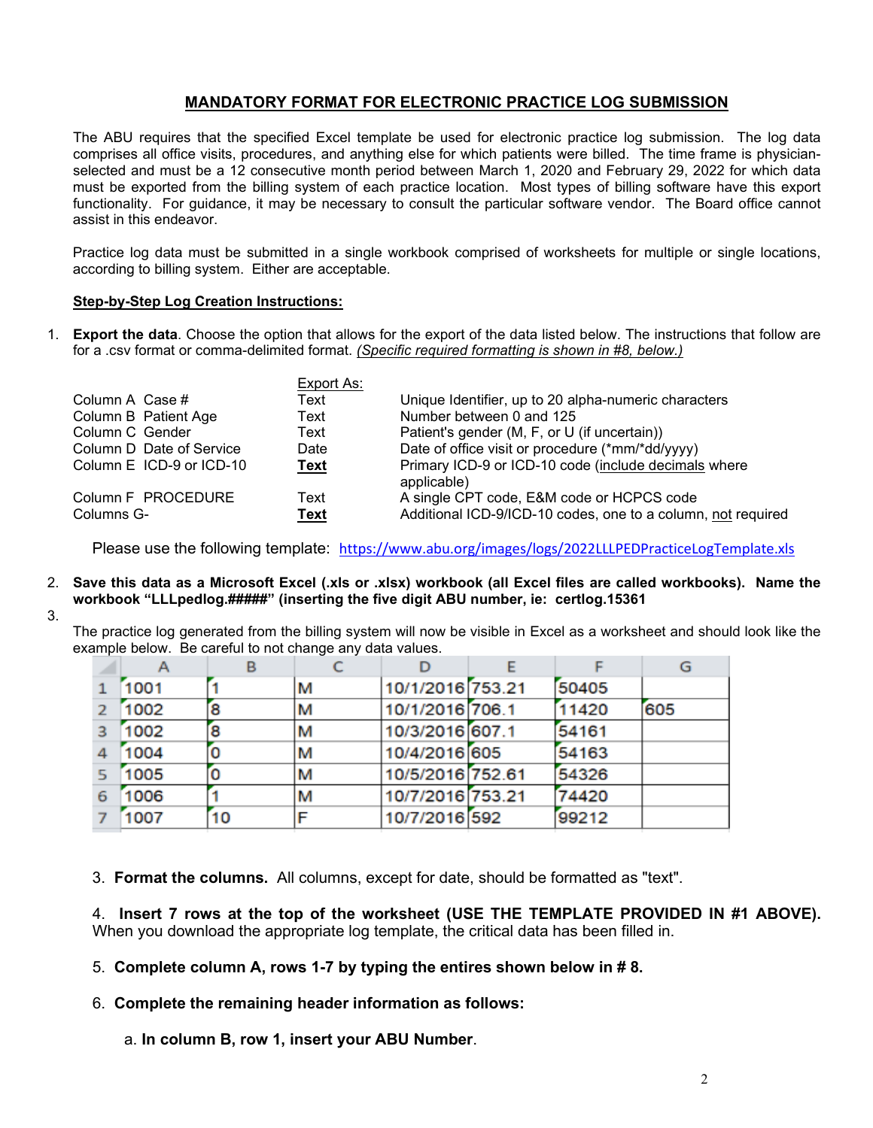# **MANDATORY FORMAT FOR ELECTRONIC PRACTICE LOG SUBMISSION**

The ABU requires that the specified Excel template be used for electronic practice log submission. The log data comprises all office visits, procedures, and anything else for which patients were billed. The time frame is physicianselected and must be a 12 consecutive month period between March 1, 2020 and February 29, 2022 for which data must be exported from the billing system of each practice location. Most types of billing software have this export functionality. For guidance, it may be necessary to consult the particular software vendor. The Board office cannot assist in this endeavor.

Practice log data must be submitted in a single workbook comprised of worksheets for multiple or single locations, according to billing system. Either are acceptable.

#### **Step-by-Step Log Creation Instructions:**

1. **Export the data**. Choose the option that allows for the export of the data listed below. The instructions that follow are for a .csv format or comma-delimited format. *(Specific required formatting is shown in #8, below.)*

|                          | Export As:  |                                                                     |
|--------------------------|-------------|---------------------------------------------------------------------|
| Column A Case #          | Text        | Unique Identifier, up to 20 alpha-numeric characters                |
| Column B Patient Age     | Text        | Number between 0 and 125                                            |
| Column C Gender          | Text        | Patient's gender (M, F, or U (if uncertain))                        |
| Column D Date of Service | Date        | Date of office visit or procedure (*mm/*dd/yyyy)                    |
| Column E ICD-9 or ICD-10 | <b>Text</b> | Primary ICD-9 or ICD-10 code (include decimals where<br>applicable) |
| Column F PROCEDURE       | Text        | A single CPT code, E&M code or HCPCS code                           |
| Columns G-               | <b>Text</b> | Additional ICD-9/ICD-10 codes, one to a column, not required        |

Please use the following template: <https://www.abu.org/images/logs/2022LLLPEDPracticeLogTemplate.xls>

- 2. **Save this data as a Microsoft Excel (.xls or .xlsx) workbook (all Excel files are called workbooks). Name the workbook "LLLpedlog.#####" (inserting the five digit ABU number, ie: certlog.15361**
- 3.

The practice log generated from the billing system will now be visible in Excel as a worksheet and should look like the example below. Be careful to not change any data values.

|                |      | в  |   |                  |       | G   |
|----------------|------|----|---|------------------|-------|-----|
| $\mathbf{1}$   | 1001 |    | М | 10/1/2016 753.21 | 50405 |     |
| $\overline{2}$ | 1002 | 8  | м | 10/1/2016 706.1  | 11420 | 605 |
| 3 <sup>7</sup> | 1002 | 8  | м | 10/3/2016 607.1  | 54161 |     |
| $\overline{a}$ | 1004 | 0  | М | 10/4/2016 605    | 54163 |     |
| 5.             | 1005 | 0  | м | 10/5/2016 752.61 | 54326 |     |
| 6              | 1006 |    | М | 10/7/2016 753.21 | 74420 |     |
|                | 1007 | 10 | F | 10/7/2016 592    | 99212 |     |

3. **Format the columns.** All columns, except for date, should be formatted as "text".

4. **Insert 7 rows at the top of the worksheet (USE THE TEMPLATE PROVIDED IN #1 ABOVE).**  When you download the appropriate log template, the critical data has been filled in.

- 5. **Complete column A, rows 1-7 by typing the entires shown below in # 8.**
- 6. **Complete the remaining header information as follows:**

a. **In column B, row 1, insert your ABU Number**.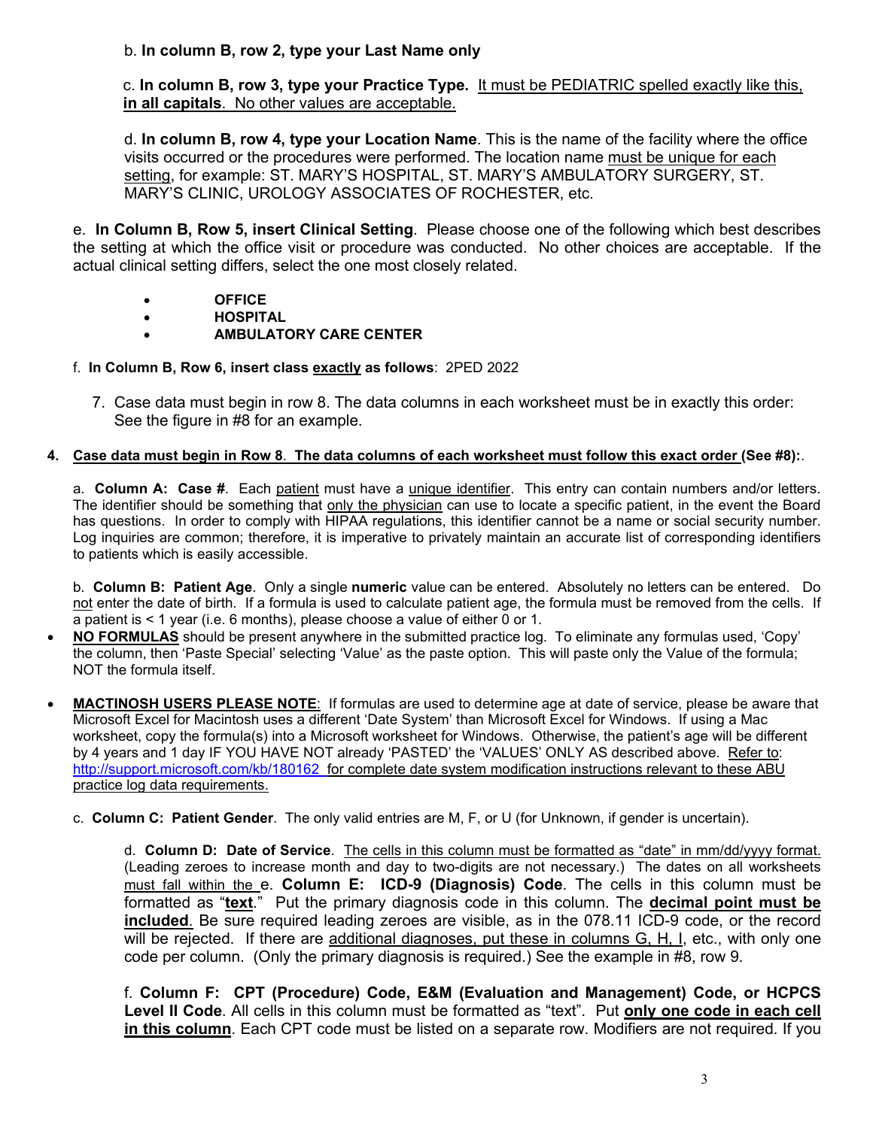# b. **In column B, row 2, type your Last Name only**

c. **In column B, row 3, type your Practice Type.** It must be PEDIATRIC spelled exactly like this, **in all capitals**. No other values are acceptable.

d. **In column B, row 4, type your Location Name**. This is the name of the facility where the office visits occurred or the procedures were performed. The location name must be unique for each setting, for example: ST. MARY'S HOSPITAL, ST. MARY'S AMBULATORY SURGERY, ST. MARY'S CLINIC, UROLOGY ASSOCIATES OF ROCHESTER, etc.

e. **In Column B, Row 5, insert Clinical Setting**. Please choose one of the following which best describes the setting at which the office visit or procedure was conducted. No other choices are acceptable. If the actual clinical setting differs, select the one most closely related.

- **OFFICE**
- **HOSPITAL**
- **AMBULATORY CARE CENTER**

# f. **In Column B, Row 6, insert class exactly as follows**: 2PED 2022

7. Case data must begin in row 8. The data columns in each worksheet must be in exactly this order: See the figure in #8 for an example.

### **4. Case data must begin in Row 8**. **The data columns of each worksheet must follow this exact order (See #8):**.

a. **Column A: Case #**. Each patient must have a unique identifier. This entry can contain numbers and/or letters. The identifier should be something that only the physician can use to locate a specific patient, in the event the Board has questions. In order to comply with HIPAA regulations, this identifier cannot be a name or social security number. Log inquiries are common; therefore, it is imperative to privately maintain an accurate list of corresponding identifiers to patients which is easily accessible.

b. **Column B: Patient Age**. Only a single **numeric** value can be entered. Absolutely no letters can be entered. Do not enter the date of birth. If a formula is used to calculate patient age, the formula must be removed from the cells. If a patient is < 1 year (i.e. 6 months), please choose a value of either 0 or 1.

- **NO FORMULAS** should be present anywhere in the submitted practice log. To eliminate any formulas used, 'Copy' the column, then 'Paste Special' selecting 'Value' as the paste option. This will paste only the Value of the formula; NOT the formula itself.
- **MACTINOSH USERS PLEASE NOTE**: If formulas are used to determine age at date of service, please be aware that Microsoft Excel for Macintosh uses a different 'Date System' than Microsoft Excel for Windows. If using a Mac worksheet, copy the formula(s) into a Microsoft worksheet for Windows. Otherwise, the patient's age will be different by 4 years and 1 day IF YOU HAVE NOT already 'PASTED' the 'VALUES' ONLY AS described above. Refer to: <http://support.microsoft.com/kb/180162> for complete date system modification instructions relevant to these ABU practice log data requirements.
	- c. **Column C: Patient Gender**. The only valid entries are M, F, or U (for Unknown, if gender is uncertain).

d. **Column D: Date of Service**. The cells in this column must be formatted as "date" in mm/dd/yyyy format. (Leading zeroes to increase month and day to two-digits are not necessary.) The dates on all worksheets must fall within the e. **Column E: ICD-9 (Diagnosis) Code**. The cells in this column must be formatted as "**text**." Put the primary diagnosis code in this column. The **decimal point must be included**. Be sure required leading zeroes are visible, as in the 078.11 ICD-9 code, or the record will be rejected. If there are additional diagnoses, put these in columns G, H, I, etc., with only one code per column. (Only the primary diagnosis is required.) See the example in #8, row 9.

f. **Column F: CPT (Procedure) Code, E&M (Evaluation and Management) Code, or HCPCS Level II Code**. All cells in this column must be formatted as "text". Put **only one code in each cell in this column**. Each CPT code must be listed on a separate row. Modifiers are not required. If you